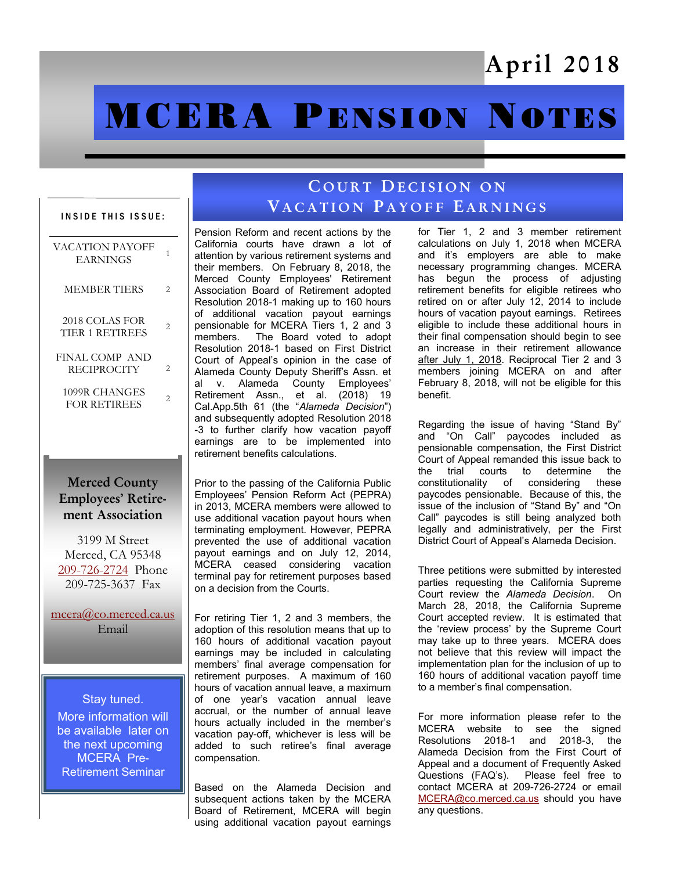## April 2018

# **MCERA PENSION NOTES**

#### INSIDE THIS ISSUE:

| <b>VACATION PAYOFF</b><br><b>EARNINGS</b> | 1 |
|-------------------------------------------|---|
| <b>MEMBER TIERS</b>                       | 2 |
| 2018 COLAS FOR<br>TIER 1 RETIREES         | 2 |
| FINAL COMP AND<br><b>RECIPROCITY</b>      | 2 |
| 1099R CHANGES<br><b>FOR RETIREES</b>      | 2 |

#### Merced County Employees' Retirement Association

3199 M Street Merced, CA 95348 [209-726-2724](tel:+12097262724) Phone 209-725-3637 Fax

[mcera@co.merced.ca.us](mailto:mcera@co.merced.ca.us) Email

Stay tuned. More information will be available later on the next upcoming MCERA Pre-Retirement Seminar

### COURT DECISION ON VACATION PAYOFF EARNINGS

Pension Reform and recent actions by the California courts have drawn a lot of attention by various retirement systems and their members. On February 8, 2018, the Merced County Employees' Retirement Association Board of Retirement adopted Resolution 2018-1 making up to 160 hours of additional vacation payout earnings pensionable for MCERA Tiers 1, 2 and 3 members. The Board voted to adopt Resolution 2018-1 based on First District Court of Appeal's opinion in the case of Alameda County Deputy Sheriff's Assn. et al v. Alameda County Employees' Retirement Assn., et al. (2018) 19 Cal.App.5th 61 (the "*Alameda Decision*") and subsequently adopted Resolution 2018 -3 to further clarify how vacation payoff earnings are to be implemented into retirement benefits calculations.

Prior to the passing of the California Public Employees' Pension Reform Act (PEPRA) in 2013, MCERA members were allowed to use additional vacation payout hours when terminating employment. However, PEPRA prevented the use of additional vacation payout earnings and on July 12, 2014, MCERA ceased considering vacation terminal pay for retirement purposes based on a decision from the Courts.

For retiring Tier 1, 2 and 3 members, the adoption of this resolution means that up to 160 hours of additional vacation payout earnings may be included in calculating members' final average compensation for retirement purposes. A maximum of 160 hours of vacation annual leave, a maximum of one year's vacation annual leave accrual, or the number of annual leave hours actually included in the member's vacation pay-off, whichever is less will be added to such retiree's final average compensation.

Based on the Alameda Decision and subsequent actions taken by the MCERA Board of Retirement, MCERA will begin using additional vacation payout earnings

for Tier 1, 2 and 3 member retirement calculations on July 1, 2018 when MCERA and it's employers are able to make necessary programming changes. MCERA has begun the process of adjusting retirement benefits for eligible retirees who retired on or after July 12, 2014 to include hours of vacation payout earnings. Retirees eligible to include these additional hours in their final compensation should begin to see an increase in their retirement allowance after July 1, 2018. Reciprocal Tier 2 and 3 members joining MCERA on and after February 8, 2018, will not be eligible for this benefit.

Regarding the issue of having "Stand By" and "On Call" paycodes included as pensionable compensation, the First District Court of Appeal remanded this issue back to the trial courts to determine the constitutionality of considering these paycodes pensionable. Because of this, the issue of the inclusion of "Stand By" and "On Call" paycodes is still being analyzed both legally and administratively, per the First District Court of Appeal's Alameda Decision.

Three petitions were submitted by interested parties requesting the California Supreme Court review the *Alameda Decision*. On March 28, 2018, the California Supreme Court accepted review. It is estimated that the 'review process' by the Supreme Court may take up to three years. MCERA does not believe that this review will impact the implementation plan for the inclusion of up to 160 hours of additional vacation payoff time to a member's final compensation.

For more information please refer to the MCERA website to see the signed Resolutions 2018-1 and 2018-3, the Alameda Decision from the First Court of Appeal and a document of Frequently Asked Questions (FAQ's). Please feel free to contact MCERA at 209-726-2724 or email [MCERA@co.merced.ca.us](mailto:MCERA@co.merced.ca.us) should you have any questions.